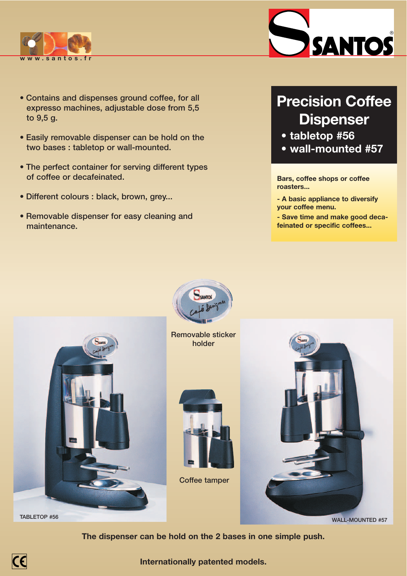

- **Contains and dispenses ground coffee, for all expresso machines, adjustable dose from 5,5 to 9,5 g.**
- **Easily removable dispenser can be hold on the two bases : tabletop or wall-mounted.**
- **The perfect container for serving different types of coffee or decafeinated.**
- **Different colours : black, brown, grey...**
- **Removable dispenser for easy cleaning and maintenance.**



# **Precision Coffee Dispenser**

- **tabletop #56**
- **wall-mounted #57**

**Bars, coffee shops or coffee roasters...**

**- A basic appliance to diversify your coffee menu.**

**- Save time and make good decafeinated or specific coffees...**



**TABLETOP #56**

 $\epsilon$ 

**Removable sticker**

CANTO





**WALL-MOUNTED #57**

**The dispenser can be hold on the 2 bases in one simple push.**